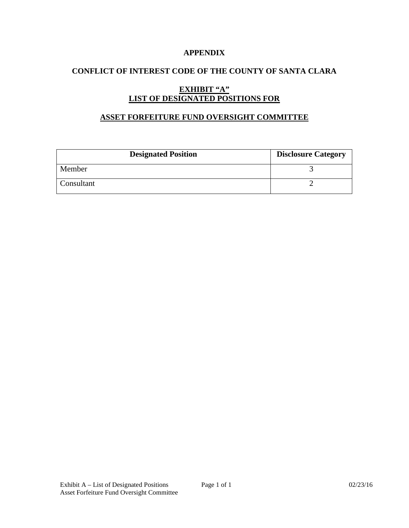## **APPENDIX**

# **CONFLICT OF INTEREST CODE OF THE COUNTY OF SANTA CLARA**

# **EXHIBIT "A" LIST OF DESIGNATED POSITIONS FOR**

#### **ASSET FORFEITURE FUND OVERSIGHT COMMITTEE**

| <b>Designated Position</b> | <b>Disclosure Category</b> |
|----------------------------|----------------------------|
| Member                     |                            |
| Consultant                 |                            |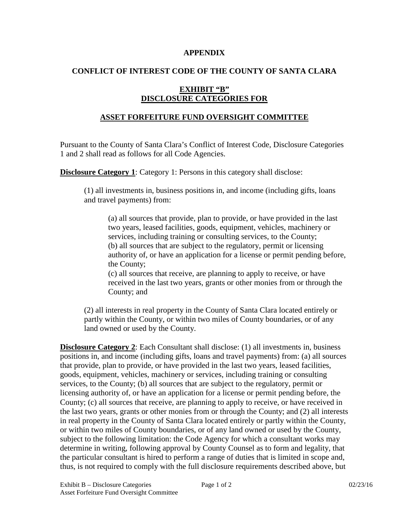#### **APPENDIX**

# **CONFLICT OF INTEREST CODE OF THE COUNTY OF SANTA CLARA**

# **EXHIBIT "B" DISCLOSURE CATEGORIES FOR**

## **ASSET FORFEITURE FUND OVERSIGHT COMMITTEE**

Pursuant to the County of Santa Clara's Conflict of Interest Code, Disclosure Categories 1 and 2 shall read as follows for all Code Agencies.

**Disclosure Category 1:** Category 1: Persons in this category shall disclose:

(1) all investments in, business positions in, and income (including gifts, loans and travel payments) from:

(a) all sources that provide, plan to provide, or have provided in the last two years, leased facilities, goods, equipment, vehicles, machinery or services, including training or consulting services, to the County; (b) all sources that are subject to the regulatory, permit or licensing authority of, or have an application for a license or permit pending before, the County;

(c) all sources that receive, are planning to apply to receive, or have received in the last two years, grants or other monies from or through the County; and

(2) all interests in real property in the County of Santa Clara located entirely or partly within the County, or within two miles of County boundaries, or of any land owned or used by the County.

**Disclosure Category 2**: Each Consultant shall disclose: (1) all investments in, business positions in, and income (including gifts, loans and travel payments) from: (a) all sources that provide, plan to provide, or have provided in the last two years, leased facilities, goods, equipment, vehicles, machinery or services, including training or consulting services, to the County; (b) all sources that are subject to the regulatory, permit or licensing authority of, or have an application for a license or permit pending before, the County; (c) all sources that receive, are planning to apply to receive, or have received in the last two years, grants or other monies from or through the County; and (2) all interests in real property in the County of Santa Clara located entirely or partly within the County, or within two miles of County boundaries, or of any land owned or used by the County, subject to the following limitation: the Code Agency for which a consultant works may determine in writing, following approval by County Counsel as to form and legality, that the particular consultant is hired to perform a range of duties that is limited in scope and, thus, is not required to comply with the full disclosure requirements described above, but